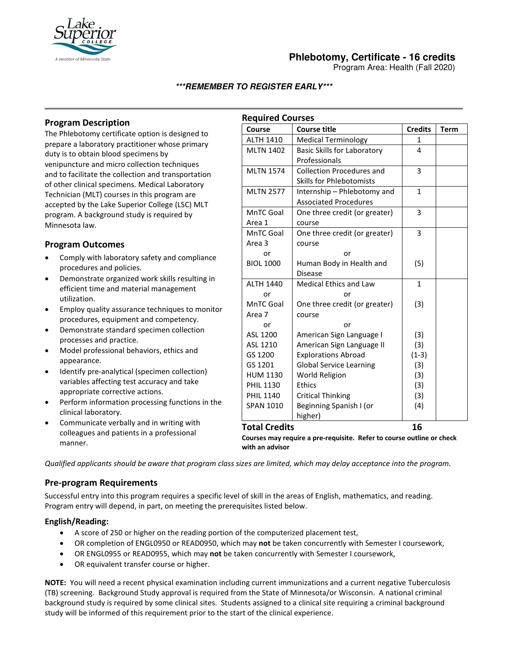

# **Phlebotomy, Certificate - 16 credits**

Program Area: Health (Fall 2020)

### **\*\*\*REMEMBER TO REGISTER EARLY\*\*\***

## **Program Description**

The Phlebotomy certificate option is designed to prepare a laboratory practitioner whose primary duty is to obtain blood specimens by venipuncture and micro collection techniques and to facilitate the collection and transportation of other clinical specimens. Medical Laboratory Technician (MLT) courses in this program are accepted by the Lake Superior College (LSC) MLT program. A background study is required by Minnesota law.

## **Program Outcomes**

- Comply with laboratory safety and compliance procedures and policies.
- Demonstrate organized work skills resulting in efficient time and material management utilization.
- Employ quality assurance techniques to monitor procedures, equipment and competency.
- Demonstrate standard specimen collection processes and practice.
- Model professional behaviors, ethics and appearance.
- Identify pre-analytical (specimen collection) variables affecting test accuracy and take appropriate corrective actions.
- Perform information processing functions in the clinical laboratory.
- Communicate verbally and in writing with colleagues and patients in a professional manner.

| <b>Required Courses</b> |                                    |                |             |
|-------------------------|------------------------------------|----------------|-------------|
| Course                  | <b>Course title</b>                | <b>Credits</b> | <b>Term</b> |
| <b>ALTH 1410</b>        | <b>Medical Terminology</b>         | $\mathbf{1}$   |             |
| <b>MLTN 1402</b>        | <b>Basic Skills for Laboratory</b> | 4              |             |
|                         | Professionals                      |                |             |
| <b>MLTN 1574</b>        | <b>Collection Procedures and</b>   | 3              |             |
|                         | <b>Skills for Phlebotomists</b>    |                |             |
| <b>MLTN 2577</b>        | Internship - Phlebotomy and        | $\mathbf{1}$   |             |
|                         | <b>Associated Procedures</b>       |                |             |
| MnTC Goal               | One three credit (or greater)      | 3              |             |
| Area 1                  | course                             |                |             |
| MnTC Goal               | One three credit (or greater)      | 3              |             |
| Area 3                  | course                             |                |             |
| or                      | or                                 |                |             |
| <b>BIOL 1000</b>        | Human Body in Health and           | (5)            |             |
|                         | Disease                            |                |             |
| <b>ALTH 1440</b>        | <b>Medical Ethics and Law</b>      | 1              |             |
| or                      | or                                 |                |             |
| MnTC Goal               | One three credit (or greater)      | (3)            |             |
| Area 7                  | course                             |                |             |
| or                      | or                                 |                |             |
| ASL 1200                | American Sign Language I           | (3)            |             |
| ASL 1210                | American Sign Language II          | (3)            |             |
| GS 1200                 | <b>Explorations Abroad</b>         | $(1-3)$        |             |
| GS 1201                 | <b>Global Service Learning</b>     | (3)            |             |
| <b>HUM 1130</b>         | World Religion                     | (3)            |             |
| <b>PHIL 1130</b>        | Ethics                             | (3)            |             |
| <b>PHIL 1140</b>        | <b>Critical Thinking</b>           | (3)            |             |
| <b>SPAN 1010</b>        | Beginning Spanish I (or            | (4)            |             |
|                         | higher)                            |                |             |
| <b>Total Credits</b>    |                                    | 16             |             |

**Courses may require a pre-requisite. Refer to course outline or check with an advisor** 

*Qualified applicants should be aware that program class sizes are limited, which may delay acceptance into the program.*

#### **Pre-program Requirements**

Successful entry into this program requires a specific level of skill in the areas of English, mathematics, and reading. Program entry will depend, in part, on meeting the prerequisites listed below.

#### **English/Reading:**

- A score of 250 or higher on the reading portion of the computerized placement test,
- OR completion of ENGL0950 or READ0950, which may **not** be taken concurrently with Semester I coursework,
- OR ENGL0955 or READ0955, which may **not** be taken concurrently with Semester I coursework,
- OR equivalent transfer course or higher.

**NOTE:** You will need a recent physical examination including current immunizations and a current negative Tuberculosis (TB) screening. Background Study approval is required from the State of Minnesota/or Wisconsin. A national criminal background study is required by some clinical sites. Students assigned to a clinical site requiring a criminal background study will be informed of this requirement prior to the start of the clinical experience.